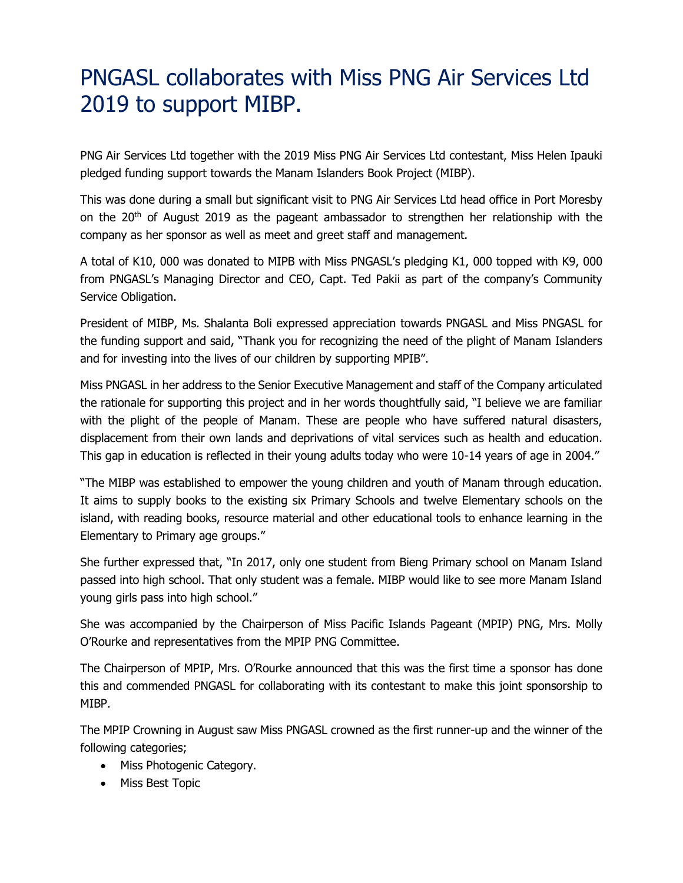## PNGASL collaborates with Miss PNG Air Services Ltd 2019 to support MIBP.

PNG Air Services Ltd together with the 2019 Miss PNG Air Services Ltd contestant, Miss Helen Ipauki pledged funding support towards the Manam Islanders Book Project (MIBP).

This was done during a small but significant visit to PNG Air Services Ltd head office in Port Moresby on the  $20<sup>th</sup>$  of August 2019 as the pageant ambassador to strengthen her relationship with the company as her sponsor as well as meet and greet staff and management.

A total of K10, 000 was donated to MIPB with Miss PNGASL's pledging K1, 000 topped with K9, 000 from PNGASL's Managing Director and CEO, Capt. Ted Pakii as part of the company's Community Service Obligation.

President of MIBP, Ms. Shalanta Boli expressed appreciation towards PNGASL and Miss PNGASL for the funding support and said, "Thank you for recognizing the need of the plight of Manam Islanders and for investing into the lives of our children by supporting MPIB".

Miss PNGASL in her address to the Senior Executive Management and staff of the Company articulated the rationale for supporting this project and in her words thoughtfully said, "I believe we are familiar with the plight of the people of Manam. These are people who have suffered natural disasters, displacement from their own lands and deprivations of vital services such as health and education. This gap in education is reflected in their young adults today who were 10-14 years of age in 2004."

"The MIBP was established to empower the young children and youth of Manam through education. It aims to supply books to the existing six Primary Schools and twelve Elementary schools on the island, with reading books, resource material and other educational tools to enhance learning in the Elementary to Primary age groups."

She further expressed that, "In 2017, only one student from Bieng Primary school on Manam Island passed into high school. That only student was a female. MIBP would like to see more Manam Island young girls pass into high school."

She was accompanied by the Chairperson of Miss Pacific Islands Pageant (MPIP) PNG, Mrs. Molly O'Rourke and representatives from the MPIP PNG Committee.

The Chairperson of MPIP, Mrs. O'Rourke announced that this was the first time a sponsor has done this and commended PNGASL for collaborating with its contestant to make this joint sponsorship to MIBP.

The MPIP Crowning in August saw Miss PNGASL crowned as the first runner-up and the winner of the following categories;

- Miss Photogenic Category.
- Miss Best Topic